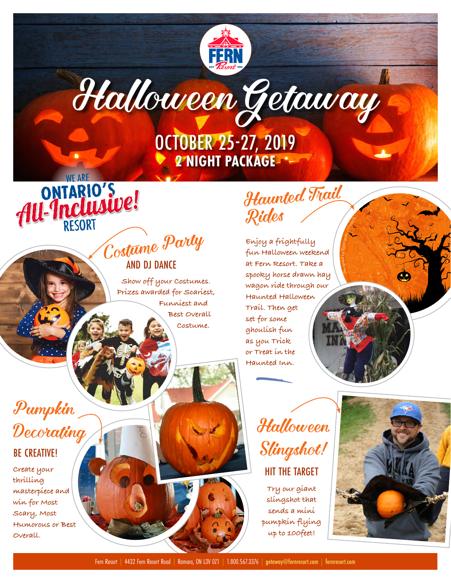# HalloweenGetaway

FERN

OCTOBER 25-27, 2019 **2 NIGHT PACKAGE**

# ONTARIO'S<br>AU-Inclusive!<br>Contrime Party AND DJ DANCE

**Show off your Costumes. Prizes awarded for Scariest, Funniest and Best Overall Costume.** 

## Haunted Trail Rides

 $\delta_{\rm D}$ esigned by Kipargeter /  $\epsilon_{\rm B}$ 

**Enjoy a frightfully fun Halloween weekend at Fern Resort. Take a spooky horse drawn hay wagon ride through our Haunted Halloween Trail. Then get set for some ghoulish fun as you Trick or Treat in the Haunted Inn.** 

### Pumpkin **Decorating**

**WF ARE** 

### BE CREATIVE!

**Create your thrilling masterpiece and win for Most Scary, Most Humorous or Best Overall.**



### HIT THE TARGET

**Try our giant slingshot that sends a mini pumpkin flying up to 100feet!**